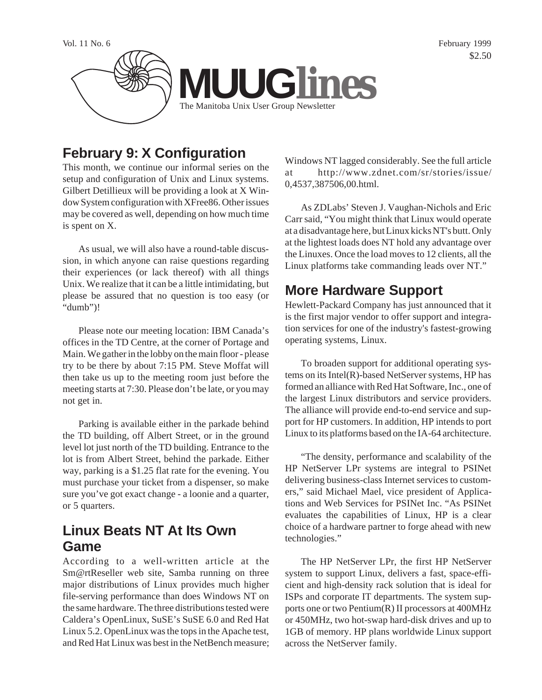

# **February 9: X Configuration**

This month, we continue our informal series on the setup and configuration of Unix and Linux systems. Gilbert Detillieux will be providing a look at X Window System configuration with XFree86. Other issues may be covered as well, depending on how much time is spent on X.

As usual, we will also have a round-table discussion, in which anyone can raise questions regarding their experiences (or lack thereof) with all things Unix. We realize that it can be a little intimidating, but please be assured that no question is too easy (or "dumb")!

Please note our meeting location: IBM Canada's offices in the TD Centre, at the corner of Portage and Main. We gather in the lobby on the main floor - please try to be there by about 7:15 PM. Steve Moffat will then take us up to the meeting room just before the meeting starts at 7:30. Please don't be late, or you may not get in.

Parking is available either in the parkade behind the TD building, off Albert Street, or in the ground level lot just north of the TD building. Entrance to the lot is from Albert Street, behind the parkade. Either way, parking is a \$1.25 flat rate for the evening. You must purchase your ticket from a dispenser, so make sure you've got exact change - a loonie and a quarter, or 5 quarters.

# **Linux Beats NT At Its Own Game**

According to a well-written article at the Sm@rtReseller web site, Samba running on three major distributions of Linux provides much higher file-serving performance than does Windows NT on the same hardware. The three distributions tested were Caldera's OpenLinux, SuSE's SuSE 6.0 and Red Hat Linux 5.2. OpenLinux was the tops in the Apache test, and Red Hat Linux was best in the NetBench measure; Windows NT lagged considerably. See the full article at http://www.zdnet.com/sr/stories/issue/ 0,4537,387506,00.html.

As ZDLabs' Steven J. Vaughan-Nichols and Eric Carr said, "You might think that Linux would operate at a disadvantage here, but Linux kicks NT's butt. Only at the lightest loads does NT hold any advantage over the Linuxes. Once the load moves to 12 clients, all the Linux platforms take commanding leads over NT."

# **More Hardware Support**

Hewlett-Packard Company has just announced that it is the first major vendor to offer support and integration services for one of the industry's fastest-growing operating systems, Linux.

To broaden support for additional operating systems on its Intel(R)-based NetServer systems, HP has formed an alliance with Red Hat Software, Inc., one of the largest Linux distributors and service providers. The alliance will provide end-to-end service and support for HP customers. In addition, HP intends to port Linux to its platforms based on the IA-64 architecture.

"The density, performance and scalability of the HP NetServer LPr systems are integral to PSINet delivering business-class Internet services to customers," said Michael Mael, vice president of Applications and Web Services for PSINet Inc. "As PSINet evaluates the capabilities of Linux, HP is a clear choice of a hardware partner to forge ahead with new technologies."

The HP NetServer LPr, the first HP NetServer system to support Linux, delivers a fast, space-efficient and high-density rack solution that is ideal for ISPs and corporate IT departments. The system supports one or two Pentium(R) II processors at 400MHz or 450MHz, two hot-swap hard-disk drives and up to 1GB of memory. HP plans worldwide Linux support across the NetServer family.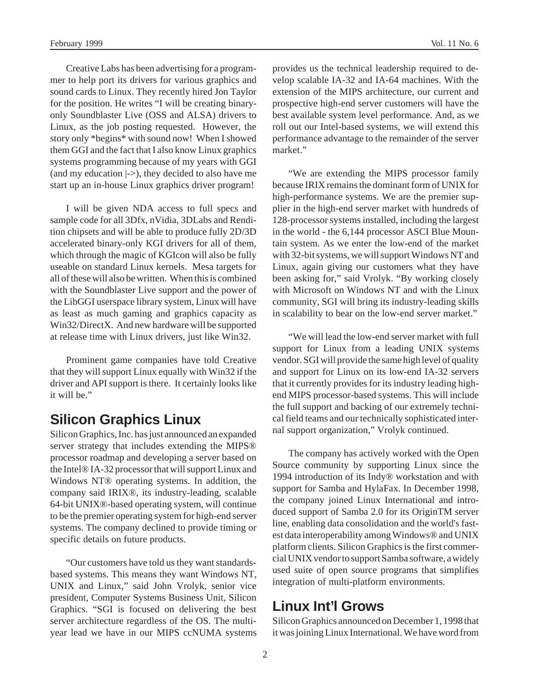Creative Labs has been advertising for a programmer to help port its drivers for various graphics and sound cards to Linux. They recently hired Jon Taylor for the position. He writes "I will be creating binaryonly Soundblaster Live (OSS and ALSA) drivers to Linux, as the job posting requested. However, the story only \*begins\* with sound now! When I showed them GGI and the fact that I also know Linux graphics systems programming because of my years with GGI (and my education  $\ket{\cdot}$ ), they decided to also have me start up an in-house Linux graphics driver program!

I will be given NDA access to full specs and sample code for all 3Dfx, nVidia, 3DLabs and Rendition chipsets and will be able to produce fully 2D/3D accelerated binary-only KGI drivers for all of them, which through the magic of KGIcon will also be fully useable on standard Linux kernels. Mesa targets for all of these will also be written. When this is combined with the Soundblaster Live support and the power of the LibGGI userspace library system, Linux will have as least as much gaming and graphics capacity as Win32/DirectX. And new hardware will be supported at release time with Linux drivers, just like Win32.

Prominent game companies have told Creative that they will support Linux equally with Win32 if the driver and API support is there. It certainly looks like it will be."

## **Silicon Graphics Linux**

Silicon Graphics, Inc. has just announced an expanded server strategy that includes extending the MIPS® processor roadmap and developing a server based on the Intel® IA-32 processor that will support Linux and Windows NT® operating systems. In addition, the company said IRIX®, its industry-leading, scalable 64-bit UNIX®-based operating system, will continue to be the premier operating system for high-end server systems. The company declined to provide timing or specific details on future products.

"Our customers have told us they want standardsbased systems. This means they want Windows NT, UNIX and Linux," said John Vrolyk, senior vice president, Computer Systems Business Unit, Silicon Graphics. "SGI is focused on delivering the best server architecture regardless of the OS. The multiyear lead we have in our MIPS ccNUMA systems

provides us the technical leadership required to develop scalable IA-32 and IA-64 machines. With the extension of the MIPS architecture, our current and prospective high-end server customers will have the best available system level performance. And, as we roll out our Intel-based systems, we will extend this performance advantage to the remainder of the server market."

"We are extending the MIPS processor family because IRIX remains the dominant form of UNIX for high-performance systems. We are the premier supplier in the high-end server market with hundreds of 128-processor systems installed, including the largest in the world - the 6,144 processor ASCI Blue Mountain system. As we enter the low-end of the market with 32-bit systems, we will support Windows NT and Linux, again giving our customers what they have been asking for," said Vrolyk. "By working closely with Microsoft on Windows NT and with the Linux community, SGI will bring its industry-leading skills in scalability to bear on the low-end server market."

"We will lead the low-end server market with full support for Linux from a leading UNIX systems vendor. SGI will provide the same high level of quality and support for Linux on its low-end IA-32 servers that it currently provides for its industry leading highend MIPS processor-based systems. This will include the full support and backing of our extremely technical field teams and our technically sophisticated internal support organization," Vrolyk continued.

The company has actively worked with the Open Source community by supporting Linux since the 1994 introduction of its Indy® workstation and with support for Samba and HylaFax. In December 1998, the company joined Linux International and introduced support of Samba 2.0 for its OriginTM server line, enabling data consolidation and the world's fastest data interoperability among Windows® and UNIX platform clients. Silicon Graphics is the first commercial UNIX vendor to support Samba software, a widely used suite of open source programs that simplifies integration of multi-platform environments.

### **Linux Int'l Grows**

Silicon Graphics announced on December 1, 1998 that it was joining Linux International. We have word from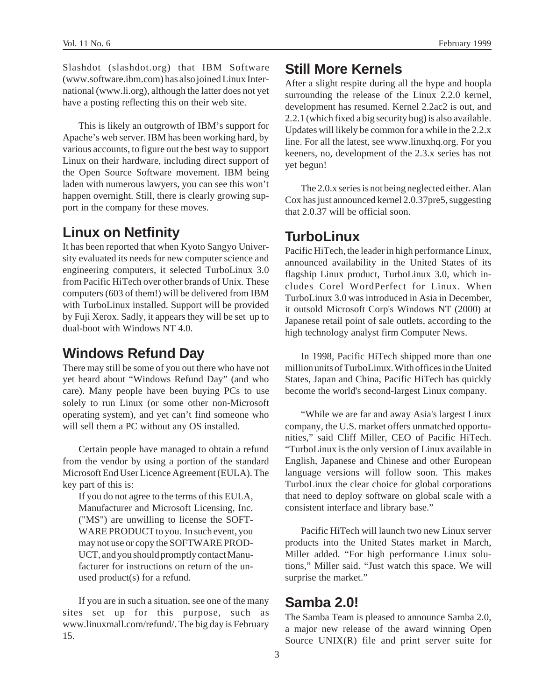Slashdot (slashdot.org) that IBM Software (www.software.ibm.com) has also joined Linux International (www.li.org), although the latter does not yet have a posting reflecting this on their web site.

This is likely an outgrowth of IBM's support for Apache's web server. IBM has been working hard, by various accounts, to figure out the best way to support Linux on their hardware, including direct support of the Open Source Software movement. IBM being laden with numerous lawyers, you can see this won't happen overnight. Still, there is clearly growing support in the company for these moves.

### **Linux on Netfinity**

It has been reported that when Kyoto Sangyo University evaluated its needs for new computer science and engineering computers, it selected TurboLinux 3.0 from Pacific HiTech over other brands of Unix. These computers (603 of them!) will be delivered from IBM with TurboLinux installed. Support will be provided by Fuji Xerox. Sadly, it appears they will be set up to dual-boot with Windows NT 4.0.

### **Windows Refund Day**

There may still be some of you out there who have not yet heard about "Windows Refund Day" (and who care). Many people have been buying PCs to use solely to run Linux (or some other non-Microsoft operating system), and yet can't find someone who will sell them a PC without any OS installed.

Certain people have managed to obtain a refund from the vendor by using a portion of the standard Microsoft End User Licence Agreement (EULA). The key part of this is:

If you do not agree to the terms of this EULA, Manufacturer and Microsoft Licensing, Inc. ("MS") are unwilling to license the SOFT-WARE PRODUCT to you. In such event, you may not use or copy the SOFTWARE PROD-UCT, and you should promptly contact Manufacturer for instructions on return of the unused product(s) for a refund.

If you are in such a situation, see one of the many sites set up for this purpose, such as www.linuxmall.com/refund/. The big day is February 15.

## **Still More Kernels**

After a slight respite during all the hype and hoopla surrounding the release of the Linux 2.2.0 kernel, development has resumed. Kernel 2.2ac2 is out, and 2.2.1 (which fixed a big security bug) is also available. Updates will likely be common for a while in the 2.2.x line. For all the latest, see www.linuxhq.org. For you keeners, no, development of the 2.3.x series has not yet begun!

The 2.0.x series is not being neglected either. Alan Cox has just announced kernel 2.0.37pre5, suggesting that 2.0.37 will be official soon.

### **TurboLinux**

Pacific HiTech, the leader in high performance Linux, announced availability in the United States of its flagship Linux product, TurboLinux 3.0, which includes Corel WordPerfect for Linux. When TurboLinux 3.0 was introduced in Asia in December, it outsold Microsoft Corp's Windows NT (2000) at Japanese retail point of sale outlets, according to the high technology analyst firm Computer News.

In 1998, Pacific HiTech shipped more than one million units of TurboLinux. With offices in the United States, Japan and China, Pacific HiTech has quickly become the world's second-largest Linux company.

"While we are far and away Asia's largest Linux company, the U.S. market offers unmatched opportunities," said Cliff Miller, CEO of Pacific HiTech. "TurboLinux is the only version of Linux available in English, Japanese and Chinese and other European language versions will follow soon. This makes TurboLinux the clear choice for global corporations that need to deploy software on global scale with a consistent interface and library base."

Pacific HiTech will launch two new Linux server products into the United States market in March, Miller added. "For high performance Linux solutions," Miller said. "Just watch this space. We will surprise the market."

### **Samba 2.0!**

The Samba Team is pleased to announce Samba 2.0, a major new release of the award winning Open Source UNIX(R) file and print server suite for